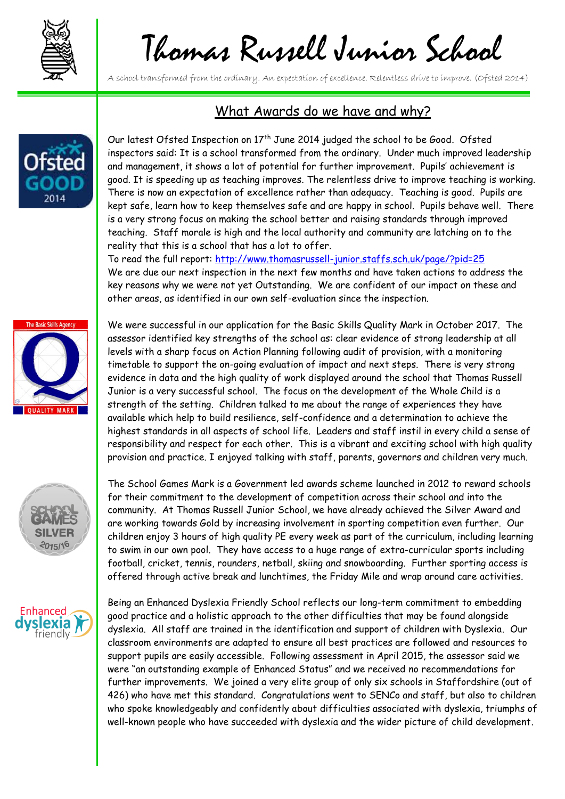

## Thomas Russell Junior School

A school transformed from the ordinary. An expectation of excellence. Relentless drive to improve. (Ofsted 2014)



## What Awards do we have and why?

Our latest Ofsted Inspection on 17<sup>th</sup> June 2014 judged the school to be Good. Ofsted inspectors said: It is a school transformed from the ordinary. Under much improved leadership and management, it shows a lot of potential for further improvement. Pupils' achievement is good. It is speeding up as teaching improves. The relentless drive to improve teaching is working. There is now an expectation of excellence rather than adequacy. Teaching is good. Pupils are kept safe, learn how to keep themselves safe and are happy in school. Pupils behave well. There is a very strong focus on making the school better and raising standards through improved teaching. Staff morale is high and the local authority and community are latching on to the reality that this is a school that has a lot to offer.

To read the full report:<http://www.thomasrussell-junior.staffs.sch.uk/page/?pid=25> We are due our next inspection in the next few months and have taken actions to address the key reasons why we were not yet Outstanding. We are confident of our impact on these and other areas, as identified in our own self-evaluation since the inspection.



We were successful in our application for the Basic Skills Quality Mark in October 2017. The assessor identified key strengths of the school as: clear evidence of strong leadership at all levels with a sharp focus on Action Planning following audit of provision, with a monitoring timetable to support the on-going evaluation of impact and next steps. There is very strong evidence in data and the high quality of work displayed around the school that Thomas Russell Junior is a very successful school. The focus on the development of the Whole Child is a strength of the setting. Children talked to me about the range of experiences they have available which help to build resilience, self-confidence and a determination to achieve the highest standards in all aspects of school life. Leaders and staff instil in every child a sense of responsibility and respect for each other. This is a vibrant and exciting school with high quality provision and practice. I enjoyed talking with staff, parents, governors and children very much.

The School Games Mark is a Government led awards scheme launched in 2012 to reward schools for their commitment to the development of competition across their school and into the community. At Thomas Russell Junior School, we have already achieved the Silver Award and are working towards Gold by increasing involvement in sporting competition even further. Our children enjoy 3 hours of high quality PE every week as part of the curriculum, including learning to swim in our own pool. They have access to a huge range of extra-curricular sports including football, cricket, tennis, rounders, netball, skiing and snowboarding. Further sporting access is offered through active break and lunchtimes, the Friday Mile and wrap around care activities.



2015/16

Being an Enhanced Dyslexia Friendly School reflects our long-term commitment to embedding good practice and a holistic approach to the other difficulties that may be found alongside dyslexia. All staff are trained in the identification and support of children with Dyslexia. Our classroom environments are adapted to ensure all best practices are followed and resources to support pupils are easily accessible. Following assessment in April 2015, the assessor said we were "an outstanding example of Enhanced Status" and we received no recommendations for further improvements. We joined a very elite group of only six schools in Staffordshire (out of 426) who have met this standard. Congratulations went to SENCo and staff, but also to children who spoke knowledgeably and confidently about difficulties associated with dyslexia, triumphs of well-known people who have succeeded with dyslexia and the wider picture of child development.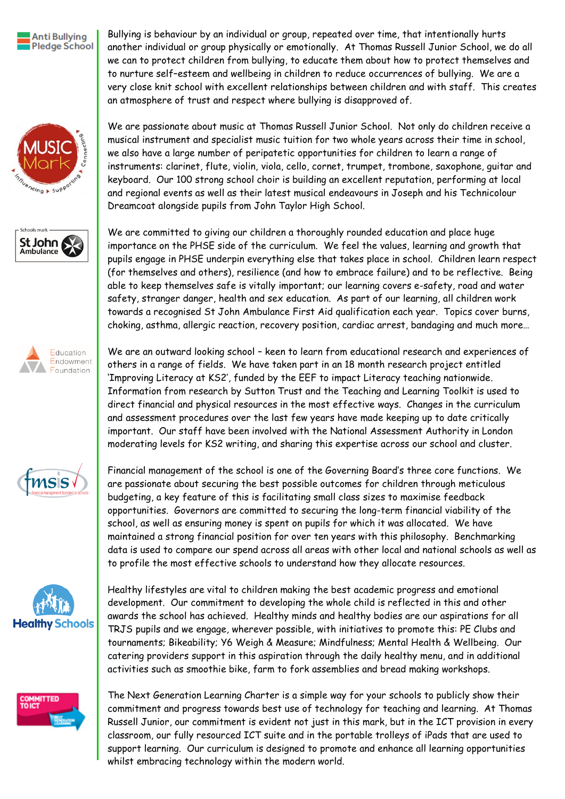

Bullying is behaviour by an individual or group, repeated over time, that intentionally hurts another individual or group physically or emotionally. At Thomas Russell Junior School, we do all we can to protect children from bullying, to educate them about how to protect themselves and to nurture self–esteem and wellbeing in children to reduce occurrences of bullying. We are a very close knit school with excellent relationships between children and with staff. This creates an atmosphere of trust and respect where bullying is disapproved of.













We are passionate about music at Thomas Russell Junior School. Not only do children receive a musical instrument and specialist music tuition for two whole years across their time in school, we also have a large number of peripatetic opportunities for children to learn a range of instruments: clarinet, flute, violin, viola, cello, cornet, trumpet, trombone, saxophone, guitar and keyboard. Our 100 strong school choir is building an excellent reputation, performing at local and regional events as well as their latest musical endeavours in Joseph and his Technicolour Dreamcoat alongside pupils from John Taylor High School.

We are committed to giving our children a thoroughly rounded education and place huge importance on the PHSE side of the curriculum. We feel the values, learning and growth that pupils engage in PHSE underpin everything else that takes place in school. Children learn respect (for themselves and others), resilience (and how to embrace failure) and to be reflective. Being able to keep themselves safe is vitally important; our learning covers e-safety, road and water safety, stranger danger, health and sex education. As part of our learning, all children work towards a recognised St John Ambulance First Aid qualification each year. Topics cover burns, choking, asthma, allergic reaction, recovery position, cardiac arrest, bandaging and much more…

We are an outward looking school – keen to learn from educational research and experiences of others in a range of fields. We have taken part in an 18 month research project entitled 'Improving Literacy at KS2', funded by the EEF to impact Literacy teaching nationwide. Information from research by Sutton Trust and the Teaching and Learning Toolkit is used to direct financial and physical resources in the most effective ways. Changes in the curriculum and assessment procedures over the last few years have made keeping up to date critically important. Our staff have been involved with the National Assessment Authority in London moderating levels for KS2 writing, and sharing this expertise across our school and cluster.

Financial management of the school is one of the Governing Board's three core functions. We are passionate about securing the best possible outcomes for children through meticulous budgeting, a key feature of this is facilitating small class sizes to maximise feedback opportunities. Governors are committed to securing the long-term financial viability of the school, as well as ensuring money is spent on pupils for which it was allocated. We have maintained a strong financial position for over ten years with this philosophy. Benchmarking data is used to compare our spend across all areas with other local and national schools as well as to profile the most effective schools to understand how they allocate resources.

Healthy lifestyles are vital to children making the best academic progress and emotional development. Our commitment to developing the whole child is reflected in this and other awards the school has achieved. Healthy minds and healthy bodies are our aspirations for all TRJS pupils and we engage, wherever possible, with initiatives to promote this: PE Clubs and tournaments; Bikeability; Y6 Weigh & Measure; Mindfulness; Mental Health & Wellbeing. Our catering providers support in this aspiration through the daily healthy menu, and in additional activities such as smoothie bike, farm to fork assemblies and bread making workshops.

The Next Generation Learning Charter is a simple way for your schools to publicly show their commitment and progress towards best use of technology for teaching and learning. At Thomas Russell Junior, our commitment is evident not just in this mark, but in the ICT provision in every classroom, our fully resourced ICT suite and in the portable trolleys of iPads that are used to support learning. Our curriculum is designed to promote and enhance all learning opportunities whilst embracing technology within the modern world.